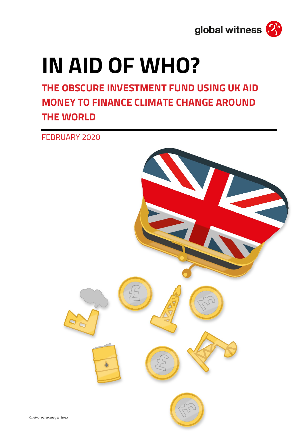

# **IN AID OF WHO?**

**THE OBSCURE INVESTMENT FUND USING UK AID MONEY TO FINANCE CLIMATE CHANGE AROUND THE WORLD**

FEBRUARY 2020

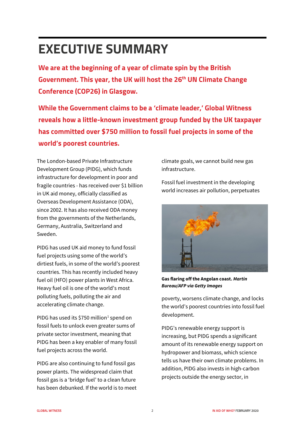# **EXECUTIVE SUMMARY**

**We are at the beginning of a year of climate spin by the British Government. This year, the UK will host the 26th UN Climate Change Conference (COP26) in Glasgow.**

**While the Government claims to be a 'climate leader,' Global Witness reveals how a little-known investment group funded by the UK taxpayer has committed over \$750 million to fossil fuel projects in some of the world's poorest countries.**

The London-based Private Infrastructure Development Group (PIDG), which funds infrastructure for development in poor and fragile countries - has received over \$1 billion in UK aid money, officially classified as Overseas Development Assistance (ODA), since 2002. It has also received ODA money from the governments of the Netherlands, Germany, Australia, Switzerland and Sweden.

PIDG has used UK aid money to fund fossil fuel projects using some of the world's dirtiest fuels, in some of the world's poorest countries. This has recently included heavy fuel oil (HFO) power plants in West Africa. Heavy fuel oil is one of the world's most polluting fuels, polluting the air and accelerating climate change.

PIDG has used its \$750 million<sup>[1](#page-10-0)</sup> spend on fossil fuels to unlock even greater sums of private sector investment, meaning that PIDG has been a key enabler of many fossil fuel projects across the world.

PIDG are also continuing to fund fossil gas power plants. The widespread claim that fossil gas is a 'bridge fuel' to a clean future has been debunked. If the world is to meet

climate goals, we cannot build new gas infrastructure.

Fossil fuel investment in the developing world increases air pollution, perpetuates



**Gas flaring off the Angolan coast.** *Martin Bureau/AFP via Getty Images*

poverty, worsens climate change, and locks the world's poorest countries into fossil fuel development.

PIDG's renewable energy support is increasing, but PIDG spends a significant amount of its renewable energy support on hydropower and biomass, which science tells us have their own climate problems. In addition, PIDG also invests in high-carbon projects outside the energy sector, in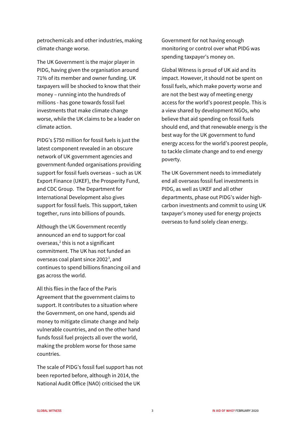petrochemicals and other industries, making climate change worse.

The UK Government is the major player in PIDG, having given the organisation around 71% of its member and owner funding. UK taxpayers will be shocked to know that their money – running into the hundreds of millions - has gone towards fossil fuel investments that make climate change worse, while the UK claims to be a leader on climate action.

PIDG's \$750 million for fossil fuels is just the latest component revealed in an obscure network of UK government agencies and government-funded organisations providing support for fossil fuels overseas – such as UK Export Finance (UKEF), the Prosperity Fund, and CDC Group. The Department for International Development also gives support for fossil fuels. This support, taken together, runs into billions of pounds.

Although the UK Government recently announced an end to support for coal overseas, $2$  this is not a significant commitment. The UK has not funded an overseas coal plant since 2002<sup>[3](#page-10-2)</sup>, and continues to spend billions financing oil and gas across the world.

All this flies in the face of the Paris Agreement that the government claims to support. It contributes to a situation where the Government, on one hand, spends aid money to mitigate climate change and help vulnerable countries, and on the other hand funds fossil fuel projects all over the world, making the problem worse for those same countries.

The scale of PIDG's fossil fuel support has not been reported before, although in 2014, the National Audit Office (NAO) criticised the UK

Government for not having enough monitoring or control over what PIDG was spending taxpayer's money on.

Global Witness is proud of UK aid and its impact. However, it should not be spent on fossil fuels, which make poverty worse and are not the best way of meeting energy access for the world's poorest people. This is a view shared by development NGOs, who believe that aid spending on fossil fuels should end, and that renewable energy is the best way for the UK government to fund energy access for the world's poorest people, to tackle climate change and to end energy poverty.

The UK Government needs to immediately end all overseas fossil fuel investments in PIDG, as well as UKEF and all other departments, phase out PIDG's wider highcarbon investments and commit to using UK taxpayer's money used for energy projects overseas to fund solely clean energy.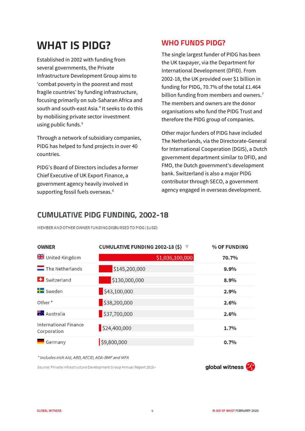## **WHAT IS PIDG?**

Established in 2002 with funding from several governments, the Private Infrastructure Development Group aims to 'combat poverty in the poorest and most fragile countries' by funding infrastructure, focusing primarily on sub-Saharan Africa and south and south-east Asia.<sup>[4](#page-10-3)</sup> It seeks to do this by mobilising private sector investment using public funds.<sup>[5](#page-10-4)</sup>

Through a network of subsidiary companies, PIDG has helped to fund projects in over 40 countries.

PIDG's Board of Directors includes a former Chief Executive of UK Export Finance, a government agency heavily involved in supporting fossil fuels overseas.<sup>[6](#page-10-5)</sup>

#### **WHO FUNDS PIDG?**

The single largest funder of PIDG has been the UK taxpayer, via the Department for International Development (DFID). From 2002-18, the UK provided over \$1 billion in funding for PIDG, 70.7% of the total £1.464 billion funding from members and owners.<sup>[7](#page-10-6)</sup> The members and owners are the donor organisations who fund the PIDG Trust and therefore the PIDG group of companies.

Other major funders of PIDG have included The Netherlands, via the Directorate-General for International Cooperation (DGIS), a Dutch government department similar to DFID, and FMO, the Dutch government's development bank. Switzerland is also a major PIDG contributor through SECO, a government agency engaged in overseas development.

#### **CUMULATIVE PIDG FUNDING, 2002-18**

MEMBER AND OTHER OWNER FUNDING DISBURSED TO PIDG (\$USD)

| <b>OWNER</b>                         | CUMULATIVE FUNDING 2002-18 (\$) ▼ |                 | % OF FUNDING |
|--------------------------------------|-----------------------------------|-----------------|--------------|
| <b>X</b> United Kingdom              |                                   | \$1,036,100,000 | 70.7%        |
| $\equiv$ The Netherlands             | \$145,200,000                     |                 | 9.9%         |
| Switzerland                          | \$130,000,000                     |                 | 8.9%         |
| <b>Fo</b> Sweden                     | \$43,100,000                      |                 | 2.9%         |
| Other <sup>*</sup>                   | \$38,200,000                      |                 | 2.6%         |
| <b>叢壇</b> Australia                  | $\frac{1}{2}$ \$37,700,000        |                 | 2.6%         |
| International Finance<br>Corporation | \$24,400,000                      |                 | 1.7%         |
| Germany                              | \$9,800,000                       |                 | 0.7%         |

\* Includes Irish Aid, ABD, AECID, ADA-BMF and MFA

Source: Private Infrastructure Development Group Annual Report 2018 ·

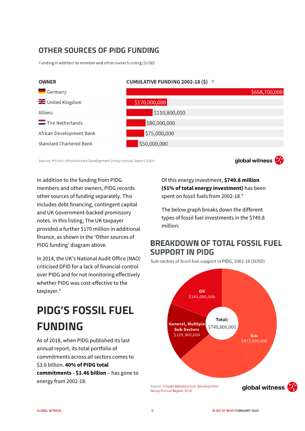#### OTHER SOURCES OF PIDG FUNDING

Funding in addition to member and other owner funding (\$USD)



Source: Private Infrastructure Development Group Annual Report 2018 .

global witness

In addition to the funding from PIDG members and other owners, PIDG records other sources of funding separately. This includes debt financing, contingent capital and UK Government-backed promissory notes. In this listing, The UK taxpayer provided a further \$170 million in additional finance, as shown in the 'Other sources of PIDG funding' diagram above.

In 2014, the UK's National Audit Office (NAO) criticised DFID for a lack of financial control over PIDG and for not monitoring effectively whether PIDG was cost-effective to the taxpayer.<sup>[8](#page-10-7)</sup>

## **PIDG'S FOSSIL FUEL FUNDING**

As of 2018, when PIDG published its last annual report, its total portfolio of commitments across all sectors comes to \$3.6 billion. **40% of PIDG total commitments - \$1.46 billion** – has gone to energy from 2002-18.

Of this energy investment, **\$749.8 million (51% of total energy investment)** has been spent on fossil fuels from 2002-18.<sup>[9](#page-10-8)</sup>

The below graph breaks down the different types of fossil fuel investments in the \$749.8 million:

#### **BREAKDOWN OF TOTAL FOSSIL FUEL SUPPORT IN PIDG**

Sub-sectors of fossil fuel support in PIDG, 2002-18 (\$USD)

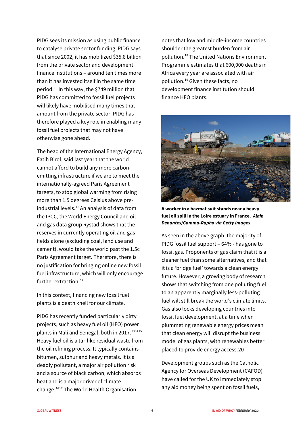PIDG sees its mission as using public finance to catalyse private sector funding. PIDG says that since 2002, it has mobilized \$35.8 billion from the private sector and development finance institutions – around ten times more than it has invested itself in the same time period.[10](#page-10-9) In this way, the \$749 million that PIDG has committed to fossil fuel projects will likely have mobilised many times that amount from the private sector. PIDG has therefore played a key role in enabling many fossil fuel projects that may not have otherwise gone ahead.

The head of the International Energy Agency, Fatih Birol, said last year that the world cannot afford to build any more carbonemitting infrastructure if we are to meet the internationally-agreed Paris Agreement targets, to stop global warming from rising more than 1.5 degrees Celsius above preindustrial levels. $11$  An analysis of data from the IPCC, the World Energy Council and oil and gas data group Rystad shows that the reserves in currently operating oil and gas fields alone (excluding coal, land use and cement), would take the world past the 1.5c Paris Agreement target. Therefore, there is no justification for bringing online new fossil fuel infrastructure, which will only encourage further extraction. $12$ 

In this context, financing new fossil fuel plants is a death knell for our climate.

PIDG has recently funded particularly dirty projects, such as heavy fuel oil (HFO) power plants in Mali and Senegal, both in 2017.<sup>[13](#page-10-12)[14](#page-10-13)[15](#page-10-14)</sup> Heavy fuel oil is a tar-like residual waste from the oil refining process. It typically contains bitumen, sulphur and heavy metals. It is a deadly pollutant, a major air pollution risk and a source of black carbon, which absorbs heat and is a major driver of climate change.[16](#page-10-15)[17](#page-11-0) The World Health Organisation

notes that low and middle-income countries shoulder the greatest burden from air pollution.[18](#page-11-1) The United Nations Environment Programme estimates that 600,000 deaths in Africa every year are associated with air pollution.[19](#page-11-2) Given these facts, no development finance institution should finance HFO plants.



**A worker in a hazmat suit stands near a heavy fuel oil spill in the Loire estuary in France.** *Alain Denantes/Gamma-Rapho via Getty Images*

As seen in the above graph, the majority of PIDG fossil fuel support – 64% - has gone to fossil gas. Proponents of gas claim that it is a cleaner fuel than some alternatives, and that it is a 'bridge fuel' towards a clean energy future. However, a growing body of research shows that switching from one polluting fuel to an apparently marginally less-polluting fuel will still break the world's climate limits. Gas also locks developing countries into fossil fuel development, at a time when plummeting renewable energy prices mean that clean energy will disrupt the business model of gas plants, with renewables better placed to provide energy access.[20](#page-11-3)

Development groups such as the Catholic Agency for Overseas Development (CAFOD) have called for the UK to immediately stop any aid money being spent on fossil fuels,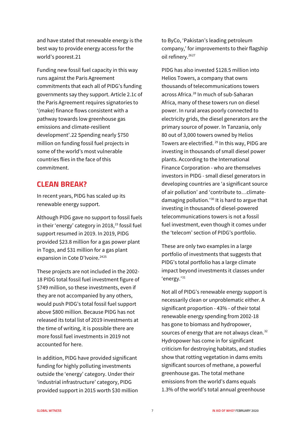and have stated that renewable energy is the best way to provide energy access for the world's poorest.[21](#page-11-4)

Funding new fossil fuel capacity in this way runs against the Paris Agreement commitments that each all of PIDG's funding governments say they support. Article 2.1c of the Paris Agreement requires signatories to '(make) finance flows consistent with a pathway towards low greenhouse gas emissions and climate-resilient development'.[22](#page-11-5) Spending nearly \$750 million on funding fossil fuel projects in some of the world's most vulnerable countries flies in the face of this commitment.

#### **CLEAN BREAK?**

In recent years, PIDG has scaled up its renewable energy support.

Although PIDG gave no support to fossil fuels in their 'energy' category in 2018,<sup>[23](#page-11-6)</sup> fossil fuel support resumed in 2019. In 2019, PIDG provided \$23.8 million for a gas power plant in Togo, and \$31 million for a gas plant expansion in Cote D'Ivoire.<sup>[24](#page-11-7)[25](#page-11-8)</sup>

These projects are not included in the 2002- 18 PIDG total fossil fuel investment figure of \$749 million, so these investments, even if they are not accompanied by any others, would push PIDG's total fossil fuel support above \$800 million. Because PIDG has not released its total list of 2019 investments at the time of writing, it is possible there are more fossil fuel investments in 2019 not accounted for here.

In addition, PIDG have provided significant funding for highly polluting investments outside the 'energy' category. Under their 'industrial infrastructure' category, PIDG provided support in 2015 worth \$30 million to ByCo, 'Pakistan's leading petroleum company,' for improvements to their flagship oil refinery.<sup>[26](#page-11-9)[27](#page-11-10)</sup>

PIDG has also invested \$128.5 million into Helios Towers, a company that owns thousands of telecommunications towers across Africa.<sup>[28](#page-11-11)</sup> In much of sub-Saharan Africa, many of these towers run on diesel power. In rural areas poorly connected to electricity grids, the diesel generators are the primary source of power. In Tanzania, only 80 out of 3,000 towers owned by Helios Towers are electrified. <sup>[29](#page-11-12)</sup> In this way, PIDG are investing in thousands of small diesel power plants. According to the International Finance Corporation - who are themselves investors in PIDG - small diesel generators in developing countries are 'a significant source of air pollution' and 'contribute to…climatedamaging pollution.'[30](#page-11-13) It is hard to argue that investing in thousands of diesel-powered telecommunications towers is not a fossil fuel investment, even though it comes under the 'telecom' section of PIDG's portfolio.

These are only two examples in a large portfolio of investments that suggests that PIDG's total portfolio has a large climate impact beyond investments it classes under 'energy.'[31](#page-11-14)

Not all of PIDG's renewable energy support is necessarily clean or unproblematic either. A significant proportion - 43% - of their total renewable energy spending from 2002-18 has gone to biomass and hydropower, sources of energy that are not always clean.<sup>[32](#page-11-15)</sup> Hydropower has come in for significant criticism for destroying habitats, and studies show that rotting vegetation in dams emits significant sources of methane, a powerful greenhouse gas. The total methane emissions from the world's dams equals 1.3% of the world's total annual greenhouse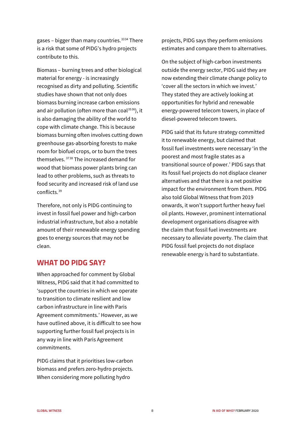gases – bigger than many countries.<sup>[33](#page-11-16)[34](#page-11-17)</sup> There is a risk that some of PIDG's hydro projects contribute to this.

Biomass – burning trees and other biological material for energy - is increasingly recognised as dirty and polluting. Scientific studies have shown that not only does biomass burning increase carbon emissions and air pollution (often more than  $coal3536$  $coal3536$  $coal3536$ ), it is also damaging the ability of the world to cope with climate change. This is because biomass burning often involves cutting down greenhouse gas-absorbing forests to make room for biofuel crops, or to burn the trees themselves. [37](#page-11-20)[38](#page-11-21) The increased demand for wood that biomass power plants bring can lead to other problems, such as threats to food security and increased risk of land use conflicts.[39](#page-11-22) 

Therefore, not only is PIDG continuing to invest in fossil fuel power and high-carbon industrial infrastructure, but also a notable amount of their renewable energy spending goes to energy sources that may not be clean.

#### **WHAT DO PIDG SAY?**

When approached for comment by Global Witness, PIDG said that it had committed to 'support the countries in which we operate to transition to climate resilient and low carbon infrastructure in line with Paris Agreement commitments.' However, as we have outlined above, it is difficult to see how supporting further fossil fuel projects is in any way in line with Paris Agreement commitments.

PIDG claims that it prioritises low-carbon biomass and prefers zero-hydro projects. When considering more polluting hydro

projects, PIDG says they perform emissions estimates and compare them to alternatives.

On the subject of high-carbon investments outside the energy sector, PIDG said they are now extending their climate change policy to 'cover all the sectors in which we invest.' They stated they are actively looking at opportunities for hybrid and renewable energy-powered telecom towers, in place of diesel-powered telecom towers.

PIDG said that its future strategy committed it to renewable energy, but claimed that fossil fuel investments were necessary 'in the poorest and most fragile states as a transitional source of power.' PIDG says that its fossil fuel projects do not displace cleaner alternatives and that there is a net positive impact for the environment from them. PIDG also told Global Witness that from 2019 onwards, it won't support further heavy fuel oil plants. However, prominent international development organisations disagree with the claim that fossil fuel investments are necessary to alleviate poverty. The claim that PIDG fossil fuel projects do not displace renewable energy is hard to substantiate.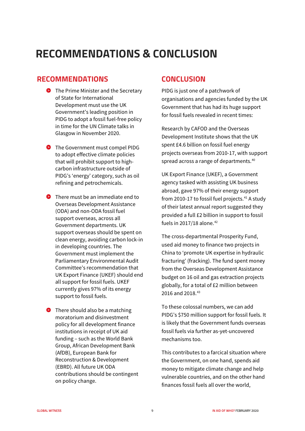### **RECOMMENDATIONS & CONCLUSION**

#### **RECOMMENDATIONS**

- $\bullet$  The Prime Minister and the Secretary of State for International Development must use the UK Government's leading position in PIDG to adopt a fossil fuel-free policy in time for the UN Climate talks in Glasgow in November 2020.
- **O** The Government must compel PIDG to adopt effective climate policies that will prohibit support to highcarbon infrastructure outside of PIDG's 'energy' category, such as oil refining and petrochemicals.
- **O** There must be an immediate end to Overseas Development Assistance (ODA) and non-ODA fossil fuel support overseas, across all Government departments. UK support overseas should be spent on clean energy, avoiding carbon lock-in in developing countries. The Government must implement the Parliamentary Environmental Audit Committee's recommendation that UK Export Finance (UKEF) should end all support for fossil fuels. UKEF currently gives 97% of its energy support to fossil fuels.
- **O** There should also be a matching moratorium and disinvestment policy for all development finance institutions in receipt of UK aid funding – such as the World Bank Group, African Development Bank (AfDB), European Bank for Reconstruction & Development (EBRD). All future UK ODA contributions should be contingent on policy change.

#### **CONCLUSION**

PIDG is just one of a patchwork of organisations and agencies funded by the UK Government that has had its huge support for fossil fuels revealed in recent times:

Research by CAFOD and the Overseas Development Institute shows that the UK spent £4.6 billion on fossil fuel energy projects overseas from 2010-17, with support spread across a range of departments.<sup>[40](#page-11-23)</sup>

UK Export Finance (UKEF), a Government agency tasked with assisting UK business abroad, gave 97% of their energy support from 2010-17 to fossil fuel projects. $41$  A study of their latest annual report suggested they provided a full £2 billion in support to fossil fuels in 2017/18 alone. $42$ 

The cross-departmental Prosperity Fund, used aid money to finance two projects in China to 'promote UK expertise in hydraulic fracturing' (fracking). The fund spent money from the Overseas Development Assistance budget on 16 oil and gas extraction projects globally, for a total of £2 million between 2016 and 2018.<sup>[43](#page-11-26)</sup>

To these colossal numbers, we can add PIDG's \$750 million support for fossil fuels. It is likely that the Government funds overseas fossil fuels via further as-yet-uncovered mechanisms too.

This contributes to a farcical situation where the Government, on one hand, spends aid money to mitigate climate change and help vulnerable countries, and on the other hand finances fossil fuels all over the world,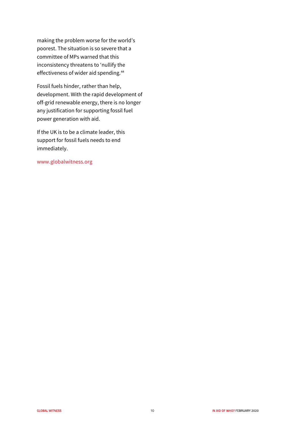making the problem worse for the world's poorest. The situation is so severe that a committee of MPs warned that this inconsistency threatens to 'nullify the effectiveness of wider aid spending.<sup>44</sup>

Fossil fuels hinder, rather than help, development. With the rapid development of off-grid renewable energy, there is no longer any justification for supporting fossil fuel power generation with aid.

If the UK is to be a climate leader, this support for fossil fuels needs to end immediately.

[www.globalwitness.org](http://www.globalwitness.org/)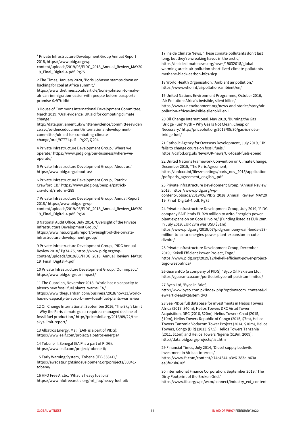<span id="page-10-0"></span><sup>1</sup> Private Infrastructure Development Group Annual Report 2018[, https://www.pidg.org/wp](https://www.pidg.org/wp-content/uploads/2019/06/PIDG_2018_Annual_Review_MAY2019_Final_Digital-4.pdf)[content/uploads/2019/06/PIDG\\_2018\\_Annual\\_Review\\_MAY20](https://www.pidg.org/wp-content/uploads/2019/06/PIDG_2018_Annual_Review_MAY2019_Final_Digital-4.pdf) [19\\_Final\\_Digital-4.pdf,](https://www.pidg.org/wp-content/uploads/2019/06/PIDG_2018_Annual_Review_MAY2019_Final_Digital-4.pdf) Pg75

**.** 

<span id="page-10-1"></span>2 The Times, January 2020, 'Boris Johnson stamps down on backing for coal at Africa summit,' [https://www.thetimes.co.uk/article/boris-johnson-to-make](https://www.thetimes.co.uk/article/boris-johnson-to-make-african-immigration-easier-with-people-before-passports-promise-0z97tddbt)[african-immigration-easier-with-people-before-passports](https://www.thetimes.co.uk/article/boris-johnson-to-make-african-immigration-easier-with-people-before-passports-promise-0z97tddbt)[promise-0z97tddbt](https://www.thetimes.co.uk/article/boris-johnson-to-make-african-immigration-easier-with-people-before-passports-promise-0z97tddbt)

<span id="page-10-2"></span>3 House of Commons International Development Committee, March 2019, 'Oral evidence: UK aid for combating climate change,'

[http://data.parliament.uk/writtenevidence/committeeeviden](http://data.parliament.uk/writtenevidence/committeeevidence.svc/evidencedocument/international-development-committee/uk-aid-for-combating-climate-change/oral/97771.pdf) [ce.svc/evidencedocument/international-development](http://data.parliament.uk/writtenevidence/committeeevidence.svc/evidencedocument/international-development-committee/uk-aid-for-combating-climate-change/oral/97771.pdf)[committee/uk-aid-for-combating-climate](http://data.parliament.uk/writtenevidence/committeeevidence.svc/evidencedocument/international-development-committee/uk-aid-for-combating-climate-change/oral/97771.pdf)[change/oral/97771.pdf](http://data.parliament.uk/writtenevidence/committeeevidence.svc/evidencedocument/international-development-committee/uk-aid-for-combating-climate-change/oral/97771.pdf) – Pg27, Q204

<span id="page-10-3"></span>4 Private Infrastructure Development Group, 'Where we operate,[' https://www.pidg.org/our-business/where-we](https://www.pidg.org/our-business/where-we-operate/)[operate/](https://www.pidg.org/our-business/where-we-operate/)

<span id="page-10-4"></span>5 Private Infrastructure Development Group, 'About us,' <https://www.pidg.org/about-us/>

<span id="page-10-5"></span>6 Private Infrastructure Development Group, 'Patrick Crawford CB,[' https://www.pidg.org/people/patrick](https://www.pidg.org/people/patrick-crawford/?return=289)[crawford/?return=289](https://www.pidg.org/people/patrick-crawford/?return=289)

<span id="page-10-6"></span>7 Private Infrastructure Development Group, 'Annual Report 2018,[' https://www.pidg.org/wp](https://www.pidg.org/wp-content/uploads/2019/06/PIDG_2018_Annual_Review_MAY2019_Final_Digital-4.pdf)[content/uploads/2019/06/PIDG\\_2018\\_Annual\\_Review\\_MAY20](https://www.pidg.org/wp-content/uploads/2019/06/PIDG_2018_Annual_Review_MAY2019_Final_Digital-4.pdf) [19\\_Final\\_Digital-4.pdf,](https://www.pidg.org/wp-content/uploads/2019/06/PIDG_2018_Annual_Review_MAY2019_Final_Digital-4.pdf) Pg64

<span id="page-10-7"></span>8 National Audit Office, July 2014, 'Oversight of the Private Infrastructure Development Group,' [https://www.nao.org.uk/report/oversight-of-the-private](https://www.nao.org.uk/report/oversight-of-the-private-infrastructure-development-group/)[infrastructure-development-group/](https://www.nao.org.uk/report/oversight-of-the-private-infrastructure-development-group/)

<span id="page-10-8"></span>9 Private Infrastructure Development Group, 'PIDG Annual Review 2018,' Pg74-75[, https://www.pidg.org/wp](https://www.pidg.org/wp-content/uploads/2019/06/PIDG_2018_Annual_Review_MAY2019_Final_Digital-4.pdf)[content/uploads/2019/06/PIDG\\_2018\\_Annual\\_Review\\_MAY20](https://www.pidg.org/wp-content/uploads/2019/06/PIDG_2018_Annual_Review_MAY2019_Final_Digital-4.pdf) [19\\_Final\\_Digital-4.pdf](https://www.pidg.org/wp-content/uploads/2019/06/PIDG_2018_Annual_Review_MAY2019_Final_Digital-4.pdf)

<span id="page-10-9"></span>10 Private Infrastructure Development Group, 'Our impact,' <https://www.pidg.org/our-impact/>

<span id="page-10-10"></span>11 The Guardian, November 2018, 'World has no capacity to absorb new fossil fuel plants, warns IEA,' [https://www.theguardian.com/business/2018/nov/13/world](https://www.theguardian.com/business/2018/nov/13/world-has-no-capacity-to-absorb-new-fossil-fuel-plants-warns-iea)[has-no-capacity-to-absorb-new-fossil-fuel-plants-warns-iea](https://www.theguardian.com/business/2018/nov/13/world-has-no-capacity-to-absorb-new-fossil-fuel-plants-warns-iea)

<span id="page-10-11"></span>12 Oil Change International, September 2016, 'The Sky's Limit – Why the Paris climate goals require a managed decline of fossil fuel production,[' http://priceofoil.org/2016/09/22/the](http://priceofoil.org/2016/09/22/the-skys-limit-report/)[skys-limit-report/](http://priceofoil.org/2016/09/22/the-skys-limit-report/)

<span id="page-10-12"></span>13 Albatros Energy, Mali [\(EAIF is a part of PIDG\)](https://www.pidg.org/about-us/): <https://www.eaif.com/project/albatros-energie/>

<span id="page-10-13"></span>14 Tobene II, Senegal (EAIF is a part of PIDG): <https://www.eaif.com/project/tobene-ii/>

<span id="page-10-14"></span>15 Early Warning System, 'Tobene (IFC-33841),' [https://ewsdata.rightsindevelopment.org/projects/33841](https://ewsdata.rightsindevelopment.org/projects/33841-tobene/) [tobene/](https://ewsdata.rightsindevelopment.org/projects/33841-tobene/)

<span id="page-10-15"></span>16 HFO Free Arctic, 'What is heavy fuel oil?' [https://www.hfofreearctic.org/hrf\\_faq/heavy-fuel-oil/](https://www.hfofreearctic.org/hrf_faq/heavy-fuel-oil/) 17 Inside Climate News, 'These climate pollutants don't last long, but they're wreaking havoc in the arctic,' [https://insideclimatenews.org/news/19032018/global](https://insideclimatenews.org/news/19032018/global-warming-arctic-air-pollution-short-lived-climate-pollutants-methane-black-carbon-hfcs-slcp)[warming-arctic-air-pollution-short-lived-climate-pollutants](https://insideclimatenews.org/news/19032018/global-warming-arctic-air-pollution-short-lived-climate-pollutants-methane-black-carbon-hfcs-slcp)[methane-black-carbon-hfcs-slcp](https://insideclimatenews.org/news/19032018/global-warming-arctic-air-pollution-short-lived-climate-pollutants-methane-black-carbon-hfcs-slcp)

18 World Health Organisation, 'Ambient air pollution,' <https://www.who.int/airpollution/ambient/en/>

19 United Nations Environment Programme, October 2016, 'Air Pollution: Africa's invisible, silent killer,' [https://www.unenvironment.org/news-and-stories/story/air](https://www.unenvironment.org/news-and-stories/story/air-pollution-africas-invisible-silent-killer-1)[pollution-africas-invisible-silent-killer-1](https://www.unenvironment.org/news-and-stories/story/air-pollution-africas-invisible-silent-killer-1)

20 Oil Change International, May 2019, 'Burning the Gas 'Bridge Fuel' Myth – Why Gas Is Not Clean, Cheap or Necessary,[' http://priceofoil.org/2019/05/30/gas-is-not-a](http://priceofoil.org/2019/05/30/gas-is-not-a-bridge-fuel/)[bridge-fuel/](http://priceofoil.org/2019/05/30/gas-is-not-a-bridge-fuel/)

21 Catholic Agency for Overseas Development, July 2019, 'UK fails to change course on fossil fuels,' <https://cafod.org.uk/News/UK-news/UK-fossil-fuels-spend>

22 United Nations Framework Convention on Climate Change, December 2015, 'The Paris Agreement,' [https://unfccc.int/files/meetings/paris\\_nov\\_2015/application](https://unfccc.int/files/meetings/paris_nov_2015/application/pdf/paris_agreement_english_.pdf) [/pdf/paris\\_agreement\\_english\\_.pdf](https://unfccc.int/files/meetings/paris_nov_2015/application/pdf/paris_agreement_english_.pdf)

23 Private Infrastructure Development Group, 'Annual Review 2018,[' https://www.pidg.org/wp](https://www.pidg.org/wp-content/uploads/2019/06/PIDG_2018_Annual_Review_MAY2019_Final_Digital-4.pdf)[content/uploads/2019/06/PIDG\\_2018\\_Annual\\_Review\\_MAY20](https://www.pidg.org/wp-content/uploads/2019/06/PIDG_2018_Annual_Review_MAY2019_Final_Digital-4.pdf) [19\\_Final\\_Digital-4.pdf,](https://www.pidg.org/wp-content/uploads/2019/06/PIDG_2018_Annual_Review_MAY2019_Final_Digital-4.pdf) Pg75

24 Private Infrastructure Development Group, July 2019, 'PIDG company EAIF lends EUR28 million to Azito Energie's power plant expansion on Cote D'Ivoire,' (Funding listed as EUR 28m. In July 2019, EUR 28m was USD \$31m)

[https://www.pidg.org/2019/07/pidg-company-eaif-lends-e28](https://www.pidg.org/2019/07/pidg-company-eaif-lends-e28-million-to-azito-energies-power-plant-expansion-in-cote-divoire/) [million-to-azito-energies-power-plant-expansion-in-cote](https://www.pidg.org/2019/07/pidg-company-eaif-lends-e28-million-to-azito-energies-power-plant-expansion-in-cote-divoire/)[divoire/](https://www.pidg.org/2019/07/pidg-company-eaif-lends-e28-million-to-azito-energies-power-plant-expansion-in-cote-divoire/)

25 Private Infrastructure Development Group, December 2019, 'Kekeli Efficient Power Project, Togo,' [https://www.pidg.org/2019/12/kekeli-efficient-power-project](https://www.pidg.org/2019/12/kekeli-efficient-power-project-togo-west-africa/)[togo-west-africa/](https://www.pidg.org/2019/12/kekeli-efficient-power-project-togo-west-africa/)

26 GuarantCo (a company of PIDG), 'Byco Oil Pakistan Ltd,' <https://guarantco.com/portfolio/byco-oil-pakistan-limited/>

27 Byco Ltd, 'Byco in Brief,' [http://www.byco.com.pk/index.php?option=com\\_content&vi](http://www.byco.com.pk/index.php?option=com_content&view=article&id=2&Itemid=3) [ew=article&id=2&Itemid=3](http://www.byco.com.pk/index.php?option=com_content&view=article&id=2&Itemid=3)

28 See PIDGs full database for investments in Helios Towers Africa (2017, \$40m), Helios Towers DRC Airtel Tower Acquisition, DRC (2016, \$20m), Helios Towers Chad (2015, \$10m), Helios Towers Republic of Congo (2015, \$7m), Helios Towers Tanzania Vodacom Tower Project (2014, \$10m), Helios Towers, Congo (D.R) (2013, \$7.5), Helios Towers Tanzania (2011, \$15m) and Helios Towers Nigeria (\$19m, 2009): <http://data.pidg.org/projects/list.htm>

29 Financial Times, July 2014, 'Diesel supply bedevils investment in Africa's internet,' [https://www.ft.com/content/c74c4344-a3e6-383a-b63a](https://www.ft.com/content/c74c4344-a3e6-383a-b63a-ee3fe23b610f)[ee3fe23b610f](https://www.ft.com/content/c74c4344-a3e6-383a-b63a-ee3fe23b610f)

30 International Finance Corporation, September 2019, 'The Dirty Footprint of the Broken Grid,' [https://www.ifc.org/wps/wcm/connect/industry\\_ext\\_content](https://www.ifc.org/wps/wcm/connect/industry_ext_content/ifc_external_corporate_site/financial+institutions/resources/dirty-footprint-of-broken-grid)